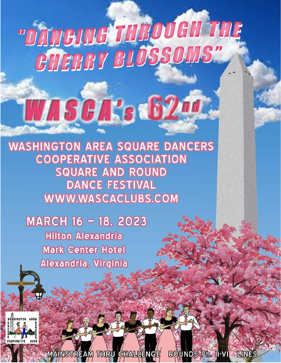## "DAMONIG THEOVEN THE **CHERRY BLOSSOMS"**

# WASCA's 62nd

**WASHINGTON AREA SQUARE DANCERS COOPERATIVE ASSOCIATION SQUARE AND ROUND DANCE FESTIVAL** WWW.WASCACLUBS.COM

MARCH 16 - 18, 2023 **Hilton Alexandria Mark Center Hotel** Alexandria, Virginia



**MAINSTREAM THRU CHALLENGE** ROUNDS Ph. II-VI LINES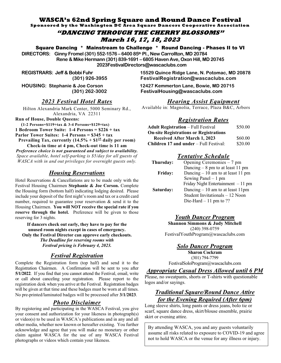#### **WASCA's 62nd Spring Square and Round Dance Festival**

**Sponsored by the Washington DC Area Square Dancers Cooperative Association** 

**"DANCING THROUGH THE CHERRY BLOSSOMS" March 16, 17, 18, 2023** 

Square Dancing \* Mainstream to Challenge \* Round Dancing - Phases II to VI

**DIRECTORS: Ginny Fromel (301) 552-1576 – 6400 85th Pl., New Carrollton, MD 20784** 

**Rene & Mike Hermann (301) 839-1691 – 6805 Haven Ave, Oxon Hill, MD 20745** 

 **2023FestivalDirectors@wascaclubs.com** 

#### **2023 Festival Hotel Rates**

Hilton Alexandria Mark Center, 5000 Seminary Rd., Alexandria, VA 22311

**Run of House, Double Queens:** 

**(1-2 Persons=\$119+tax & 3-4 Persons=\$129+tax)** 

**1 Bedroom Tower Suite: 1-4 Persons =**  $$226 + tax$ 

**Parlor Tower Suites: 1-4 Persons =**  $$345 + tax$ 

**Prevailing Tax, currently**  $(14.5\% + $1^{25}$  **daily per room)** Check-in time at 4 pm, Check-out time is 11 am

Preference choice is not guaranteed and subject to availability. *Space available, hotel self-parking is \$5/day for all guests of WASCA with in and out privileges for overnight guests only.* 

#### *Housing Reservations*

Hotel Reservations  $&$  Cancellations are to be made only with the Festival Housing Chairmen Stephanie & Joe Corson. Complete the Housing form (bottom half) indicating lodging desired. Please include your deposit of the first night's room and tax or a credit card number, required to guarantee your reservation  $\&$  send it to the Housing Chairmen. You will NOT receive the special rate if you **4) reserve through the hotel.** Preference will be given to those reserving for 3 nights.

If dancers check out early, they have to pay for the  $unused$  room nights except in cases of emergency. **Only the Festival Director can approve early checkouts.** *The Deadline for reserving rooms with Festival pricing is February 4, 2023.* 

#### $$

Complete the Registration form (top half) and send it to the Registration Chairmen. A Confirmation will be sent to you after **5/1/2022**. If you find that you cannot attend the Festival, email, write or call about canceling your registration. Please report to the registration desk when you arrive at the Festival. Registration badges will be given at that time and these badges must be worn at all times. No pre-printed/laminated badges will be processed after 3/1/2023.

#### *<i>Photo Disclaimer*

By registering and participating in the WASCA Festival, you give your consent and authorization for your likeness in photograph(s) or video(s) to be used in WASCA's publications and in any and all other media, whether now known or hereafter existing. You further acknowledge and agree that you will make no monetary or other claim against WASCA for the use of any WASCA Festival photographs or videos which contain your likeness.

**REGISTRARS: Jeff & Bobbi Fuhr 15529 Quince Ridge Lane, N. Potomac, MD 20878 (301) 926-3955 FestivalRegistration@wascaclubs.com** 

**HOUSING: Stephanie & Joe Corson 12427 Kemmerton Lane, Bowie, MD 20715 (301) 262-3002 FestivalHousing@wascaclubs.com** 

#### **Hearing Assist Equipment**

Available in: Magnolia, Terrace, Plaza B&C, Arbors

#### $$

| <b>Adult Registration</b> – Full Festival     | \$50.00 |
|-----------------------------------------------|---------|
| <b>On-site Registrations or Registrations</b> |         |
| <b>Received After March 1, 2023</b>           | \$60.00 |
| <b>Children 17 and under</b> – Full Festival: | \$20.00 |

#### *Tentative Schedule*

| Thursday:      | Opening Ceremonies $-7$ pm                                              |
|----------------|-------------------------------------------------------------------------|
| <b>Friday:</b> | Dancing $-8$ pm to at least 11 pm<br>Dancing $-10$ am to at least 11 pm |
|                | Sewing Panel $-1$ pm                                                    |
|                | Friday Night Entertainment $-11$ pm                                     |
| Saturday:      | Dancing $-10$ am to at least 11pm                                       |
|                | Student Invitationals - 12 Noon                                         |
|                | Die-Hard $-11$ pm to ??                                                 |

#### **Youth Dancer Program**

**Shannon Simmons & Judy Mitchell**  $(240)$  398-0759 FestivalYouthProgram@wascaclubs.com

#### *<u>Solo Dancer Program</u>*

**Sharon Cockram** (301) 794-7799 FestivalSoloProgram@wascaclubs.com

#### *Appropriate Casual Dress Allowed until 6 PM*

Please, no sweatpants, shorts or T-shirts with questionable logos and/or sayings.

#### *Fraditional Square/Round Dance Attire for the Evening Required (After 6pm)*

Long sleeve shirts, long pants or dress jeans, bolo tie or scarf, square dance dress, skirt/blouse ensemble, prairie skirt or evening attire.

By attending WASCA, you and any guests voluntarily assume all risks related to exposure to COVID-19 and agree not to hold WASCA or the venue for any illness or injury.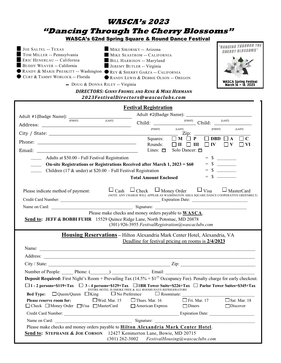### **WASCA's 2023** "Dancing Through The Cherry Blossoms"

**WASCA's 62nd Spring Square & Round Dance Festival** 

| JOE SALTEL -- TEXAS<br>TOM MILLER -- Pennsylvania                                                        | MIKE SIKORSKY -- Arizona<br>MIKE SEASTROM -- CALIFORNIA | <b><i>"BANCING THROUGH THE</i></b><br><b>CHERRY BLOSSOMS"</b> |
|----------------------------------------------------------------------------------------------------------|---------------------------------------------------------|---------------------------------------------------------------|
| ERIC HENERLAU -- California<br>BUDDY WEAVER -- California                                                | BILL HARRISON -- Maryland<br>JEREMY BUTLER -- Virginia  |                                                               |
| RANDY & MARIE PRESKITT -- Washington REY & SHERRY GARZA -- CALIFORNIA<br>CURT & TAMMY WORLOCK -- Florida | RANDY LEWIS & DEBBIE OLSON -- OREGON                    |                                                               |
| - DOUG & DONNA RILEY -- Virginia                                                                         |                                                         | WASCA Spring Festival<br>March 16 - 18, 2023                  |

#### **DIRECTORS: GINNY FROMEL AND RENE & MIKE HERMANN** 2023FestivalDirectors@wascaclubs.com

|                                                                                                                                                                                                                                                                                                                                                                                                                    | <b>Festival Registration</b> |                                                                                                                                                                                                                        |                                        |  |
|--------------------------------------------------------------------------------------------------------------------------------------------------------------------------------------------------------------------------------------------------------------------------------------------------------------------------------------------------------------------------------------------------------------------|------------------------------|------------------------------------------------------------------------------------------------------------------------------------------------------------------------------------------------------------------------|----------------------------------------|--|
| Adult #1(Badge Name): $\frac{1}{(FIRST)}$                                                                                                                                                                                                                                                                                                                                                                          |                              |                                                                                                                                                                                                                        |                                        |  |
| (LAST)                                                                                                                                                                                                                                                                                                                                                                                                             |                              | $\frac{\text{(FIRST)}}{\text{Child:}}$                                                                                                                                                                                 | (LAST)                                 |  |
|                                                                                                                                                                                                                                                                                                                                                                                                                    | (FIRST)                      | (LAST)<br>(FIRST)<br>_ Zip: ___                                                                                                                                                                                        | (LAST)                                 |  |
|                                                                                                                                                                                                                                                                                                                                                                                                                    | Squares:                     | $\Box$ M $\Box$ P                                                                                                                                                                                                      | $\vert$ DBD $\vert$ $\vert$ A          |  |
| Email: Email: All and the state of the state of the state of the state of the state of the state of the state of the state of the state of the state of the state of the state of the state of the state of the state of the s                                                                                                                                                                                     | Rounds:<br>Lines: $\Box$     | $\Box$ II $\Box$ III<br>$\Box$ IV<br>Solo Dancer: □                                                                                                                                                                    | $\Box$ V<br>VI                         |  |
| Adults at \$50.00 - Full Festival Registration<br>On-site Registrations or Registrations Received after March 1, 2023 = \$60<br>Children (17 & under) at $$20.00 - Full Festival Region$                                                                                                                                                                                                                           | <b>Total Amount Enclosed</b> |                                                                                                                                                                                                                        |                                        |  |
| Please indicate method of payment:                                                                                                                                                                                                                                                                                                                                                                                 |                              | $\square_{\text{Cash}}\ \square_{\text{Check}}\ \square_{\text{Money Order}}\ \square_{\text{Visa}}\ \square_{\text{MasterCard}}$ (NOTE: ANY CHARGE WILL APPEAR AS WASHINGTON AREA SQUARE DANCE COOPERATIVE GREENBELT) |                                        |  |
|                                                                                                                                                                                                                                                                                                                                                                                                                    |                              |                                                                                                                                                                                                                        |                                        |  |
| Housing Reservations - Hilton Alexandria Mark Center Hotel, Alexandria, VA                                                                                                                                                                                                                                                                                                                                         |                              | (301) 926-3955 FestivalRegistration@wascaclubs.com<br>Deadline for festival pricing on rooms is 2/4/2023                                                                                                               |                                        |  |
|                                                                                                                                                                                                                                                                                                                                                                                                                    |                              |                                                                                                                                                                                                                        |                                        |  |
|                                                                                                                                                                                                                                                                                                                                                                                                                    |                              |                                                                                                                                                                                                                        |                                        |  |
|                                                                                                                                                                                                                                                                                                                                                                                                                    |                              |                                                                                                                                                                                                                        |                                        |  |
| Number of People: Phone: (Changelet and Email: Email: Email:                                                                                                                                                                                                                                                                                                                                                       |                              |                                                                                                                                                                                                                        |                                        |  |
| <b>Deposit Required:</b> First Night's Room + Prevailing Tax $(14.5\% + $1^{25}$ Occupancy Fee). Penalty charge for early checkout.<br>$\Box$ 1 - 2 persons=\$119+Tax $\Box$ 3 - 4 persons=\$129+Tax $\Box$ 1BR Tower Suite=\$226+Tax $\Box$ Parlor Tower Suites=\$345+Tax<br>ENTIRE HOTEL IS SMOKE FREE & ALL ROOMS HAVE REFRIGERATORS<br>$\Box$ Queen/Queen $\Box$ King $\Box$ No Preference<br><b>Bed Type:</b> |                              | $\Box$ Roommate:                                                                                                                                                                                                       |                                        |  |
| $\Box$ Wed. Mar. 15 $\Box$ Thurs. Mar. 16<br>Please reserve room for:<br>□ Check □ Money Order □ Visa □ MasterCard □ American Express □ Diners                                                                                                                                                                                                                                                                     |                              | $\Box$ Fri. Mar. 17                                                                                                                                                                                                    | $\Box$ Sat. Mar. 18<br>$\Box$ Discover |  |
|                                                                                                                                                                                                                                                                                                                                                                                                                    |                              |                                                                                                                                                                                                                        |                                        |  |
|                                                                                                                                                                                                                                                                                                                                                                                                                    |                              |                                                                                                                                                                                                                        |                                        |  |
| Please make checks and money orders payable to <b>Hilton Alexandria Mark Center Hotel</b> .                                                                                                                                                                                                                                                                                                                        |                              |                                                                                                                                                                                                                        |                                        |  |
| Send to: STEPHANIE & JOE CORSON 12427 Kemmerton Lane, Bowie, MD 20715<br>(301) 262-3002 FestivalHousing@wascaclubs.com                                                                                                                                                                                                                                                                                             |                              |                                                                                                                                                                                                                        |                                        |  |